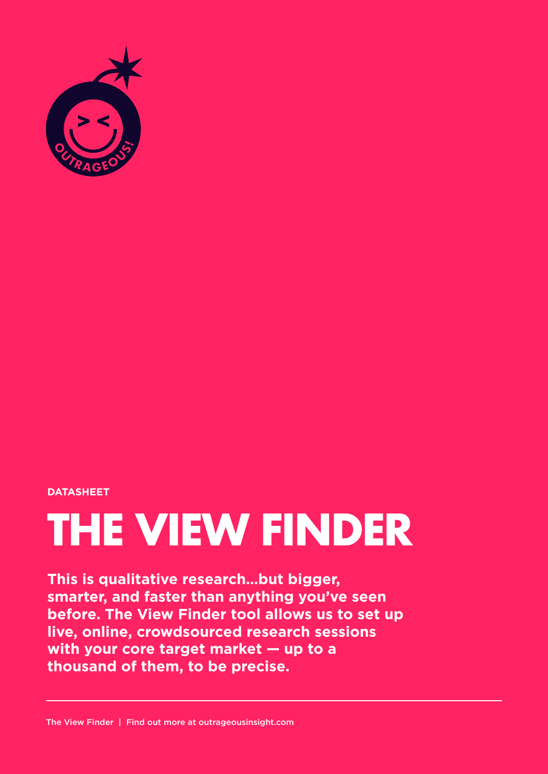

#### **DATASHEET**

# **THE VIEW FINDER**

**This is qualitative research…but bigger, smarter, and faster than anything you've seen before. The View Finder tool allows us to set up live, online, crowdsourced research sessions with your core target market — up to a thousand of them, to be precise.**